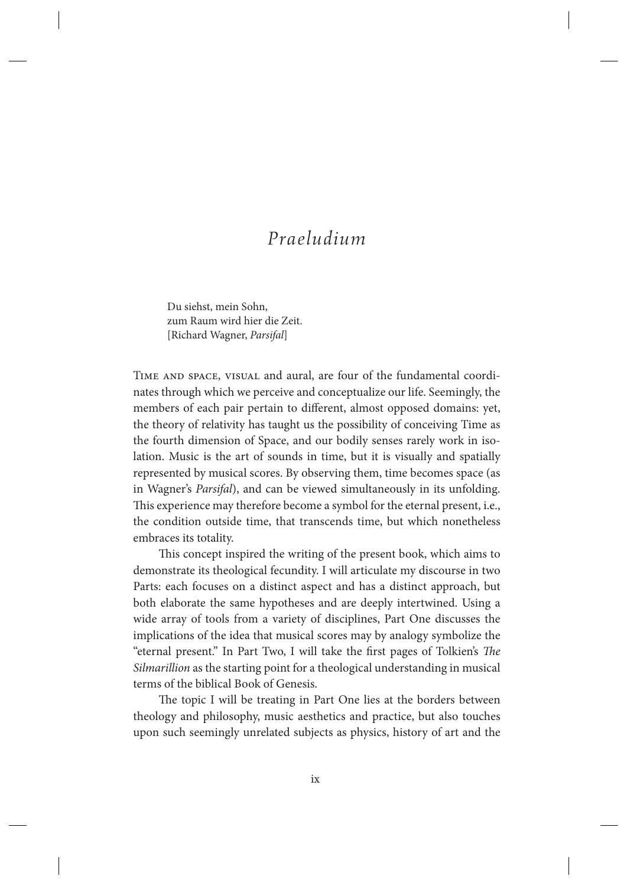# *Praeludium*

Du siehst, mein Sohn, zum Raum wird hier die Zeit. [Richard Wagner, *Parsifal*]

Time and space, visual and aural, are four of the fundamental coordinates through which we perceive and conceptualize our life. Seemingly, the members of each pair pertain to different, almost opposed domains: yet, the theory of relativity has taught us the possibility of conceiving Time as the fourth dimension of Space, and our bodily senses rarely work in isolation. Music is the art of sounds in time, but it is visually and spatially represented by musical scores. By observing them, time becomes space (as in Wagner's *Parsifal*), and can be viewed simultaneously in its unfolding. This experience may therefore become a symbol for the eternal present, i.e., the condition outside time, that transcends time, but which nonetheless embraces its totality.

This concept inspired the writing of the present book, which aims to demonstrate its theological fecundity. I will articulate my discourse in two Parts: each focuses on a distinct aspect and has a distinct approach, but both elaborate the same hypotheses and are deeply intertwined. Using a wide array of tools from a variety of disciplines, Part One discusses the implications of the idea that musical scores may by analogy symbolize the "eternal present." In Part Two, I will take the first pages of Tolkien's The *Silmarillion* as the starting point for a theological understanding in musical terms of the biblical Book of Genesis.

The topic I will be treating in Part One lies at the borders between theology and philosophy, music aesthetics and practice, but also touches upon such seemingly unrelated subjects as physics, history of art and the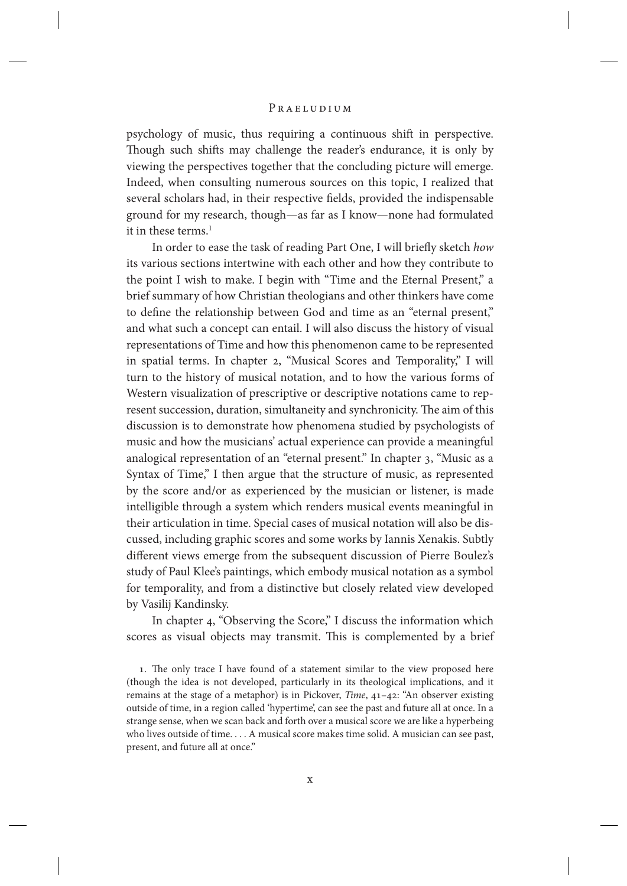psychology of music, thus requiring a continuous shift in perspective. Though such shifts may challenge the reader's endurance, it is only by viewing the perspectives together that the concluding picture will emerge. Indeed, when consulting numerous sources on this topic, I realized that several scholars had, in their respective fields, provided the indispensable ground for my research, though—as far as I know—none had formulated it in these terms. $<sup>1</sup>$ </sup>

In order to ease the task of reading Part One, I will briefly sketch *how* its various sections intertwine with each other and how they contribute to the point I wish to make. I begin with "Time and the Eternal Present," a brief summary of how Christian theologians and other thinkers have come to define the relationship between God and time as an "eternal present," and what such a concept can entail. I will also discuss the history of visual representations of Time and how this phenomenon came to be represented in spatial terms. In chapter 2, "Musical Scores and Temporality," I will turn to the history of musical notation, and to how the various forms of Western visualization of prescriptive or descriptive notations came to represent succession, duration, simultaneity and synchronicity. The aim of this discussion is to demonstrate how phenomena studied by psychologists of music and how the musicians' actual experience can provide a meaningful analogical representation of an "eternal present." In chapter 3, "Music as a Syntax of Time," I then argue that the structure of music, as represented by the score and/or as experienced by the musician or listener, is made intelligible through a system which renders musical events meaningful in their articulation in time. Special cases of musical notation will also be discussed, including graphic scores and some works by Iannis Xenakis. Subtly different views emerge from the subsequent discussion of Pierre Boulez's study of Paul Klee's paintings, which embody musical notation as a symbol for temporality, and from a distinctive but closely related view developed by Vasilij Kandinsky.

In chapter 4, "Observing the Score," I discuss the information which scores as visual objects may transmit. This is complemented by a brief

1. The only trace I have found of a statement similar to the view proposed here (though the idea is not developed, particularly in its theological implications, and it remains at the stage of a metaphor) is in Pickover, *Time*, 41–42: "An observer existing outside of time, in a region called 'hypertime', can see the past and future all at once. In a strange sense, when we scan back and forth over a musical score we are like a hyperbeing who lives outside of time. . . . A musical score makes time solid. A musician can see past, present, and future all at once."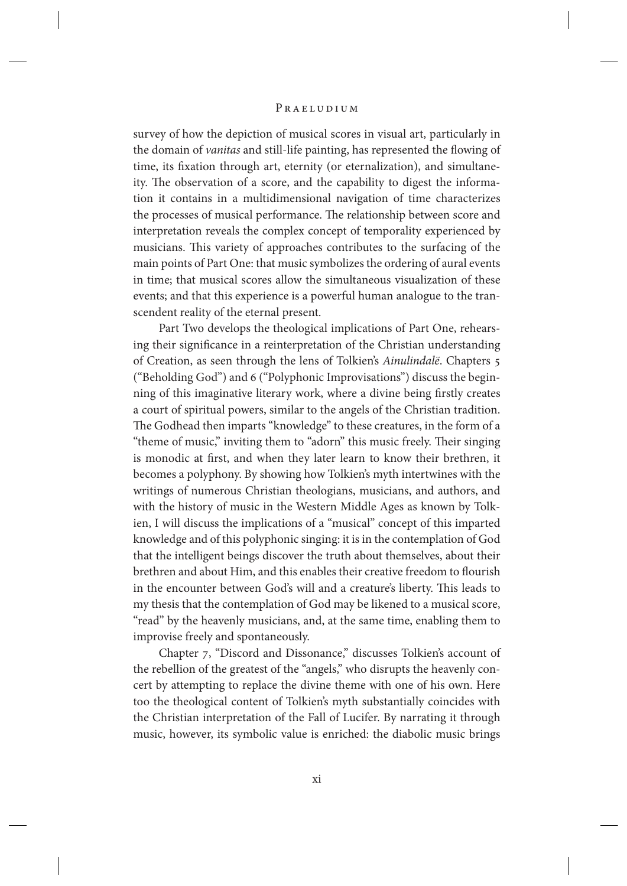survey of how the depiction of musical scores in visual art, particularly in the domain of *vanitas* and still-life painting, has represented the flowing of time, its fixation through art, eternity (or eternalization), and simultaneity. The observation of a score, and the capability to digest the information it contains in a multidimensional navigation of time characterizes the processes of musical performance. The relationship between score and interpretation reveals the complex concept of temporality experienced by musicians. This variety of approaches contributes to the surfacing of the main points of Part One: that music symbolizes the ordering of aural events in time; that musical scores allow the simultaneous visualization of these events; and that this experience is a powerful human analogue to the transcendent reality of the eternal present.

Part Two develops the theological implications of Part One, rehearsing their significance in a reinterpretation of the Christian understanding of Creation, as seen through the lens of Tolkien's *Ainulindalë*. Chapters 5 ("Beholding God") and 6 ("Polyphonic Improvisations") discuss the beginning of this imaginative literary work, where a divine being firstly creates a court of spiritual powers, similar to the angels of the Christian tradition. The Godhead then imparts "knowledge" to these creatures, in the form of a "theme of music," inviting them to "adorn" this music freely. Their singing is monodic at first, and when they later learn to know their brethren, it becomes a polyphony. By showing how Tolkien's myth intertwines with the writings of numerous Christian theologians, musicians, and authors, and with the history of music in the Western Middle Ages as known by Tolkien, I will discuss the implications of a "musical" concept of this imparted knowledge and of this polyphonic singing: it is in the contemplation of God that the intelligent beings discover the truth about themselves, about their brethren and about Him, and this enables their creative freedom to flourish in the encounter between God's will and a creature's liberty. This leads to my thesis that the contemplation of God may be likened to a musical score, "read" by the heavenly musicians, and, at the same time, enabling them to improvise freely and spontaneously.

Chapter 7, "Discord and Dissonance," discusses Tolkien's account of the rebellion of the greatest of the "angels," who disrupts the heavenly concert by attempting to replace the divine theme with one of his own. Here too the theological content of Tolkien's myth substantially coincides with the Christian interpretation of the Fall of Lucifer. By narrating it through music, however, its symbolic value is enriched: the diabolic music brings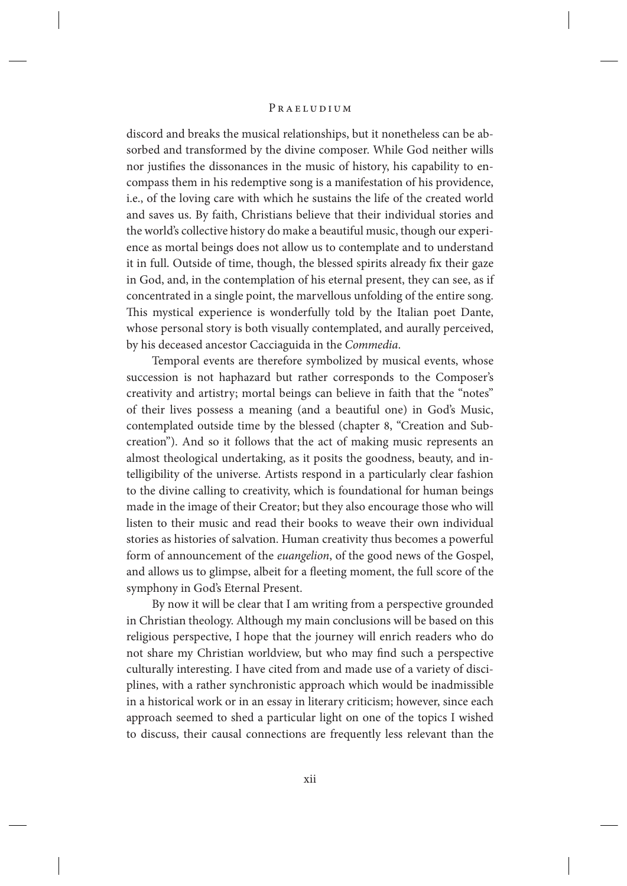discord and breaks the musical relationships, but it nonetheless can be absorbed and transformed by the divine composer. While God neither wills nor justifies the dissonances in the music of history, his capability to encompass them in his redemptive song is a manifestation of his providence, i.e., of the loving care with which he sustains the life of the created world and saves us. By faith, Christians believe that their individual stories and the world's collective history do make a beautiful music, though our experience as mortal beings does not allow us to contemplate and to understand it in full. Outside of time, though, the blessed spirits already fix their gaze in God, and, in the contemplation of his eternal present, they can see, as if concentrated in a single point, the marvellous unfolding of the entire song. This mystical experience is wonderfully told by the Italian poet Dante, whose personal story is both visually contemplated, and aurally perceived, by his deceased ancestor Cacciaguida in the *Commedia*.

Temporal events are therefore symbolized by musical events, whose succession is not haphazard but rather corresponds to the Composer's creativity and artistry; mortal beings can believe in faith that the "notes" of their lives possess a meaning (and a beautiful one) in God's Music, contemplated outside time by the blessed (chapter 8, "Creation and Subcreation"). And so it follows that the act of making music represents an almost theological undertaking, as it posits the goodness, beauty, and intelligibility of the universe. Artists respond in a particularly clear fashion to the divine calling to creativity, which is foundational for human beings made in the image of their Creator; but they also encourage those who will listen to their music and read their books to weave their own individual stories as histories of salvation. Human creativity thus becomes a powerful form of announcement of the *euangelion*, of the good news of the Gospel, and allows us to glimpse, albeit for a fleeting moment, the full score of the symphony in God's Eternal Present.

By now it will be clear that I am writing from a perspective grounded in Christian theology. Although my main conclusions will be based on this religious perspective, I hope that the journey will enrich readers who do not share my Christian worldview, but who may find such a perspective culturally interesting. I have cited from and made use of a variety of disciplines, with a rather synchronistic approach which would be inadmissible in a historical work or in an essay in literary criticism; however, since each approach seemed to shed a particular light on one of the topics I wished to discuss, their causal connections are frequently less relevant than the